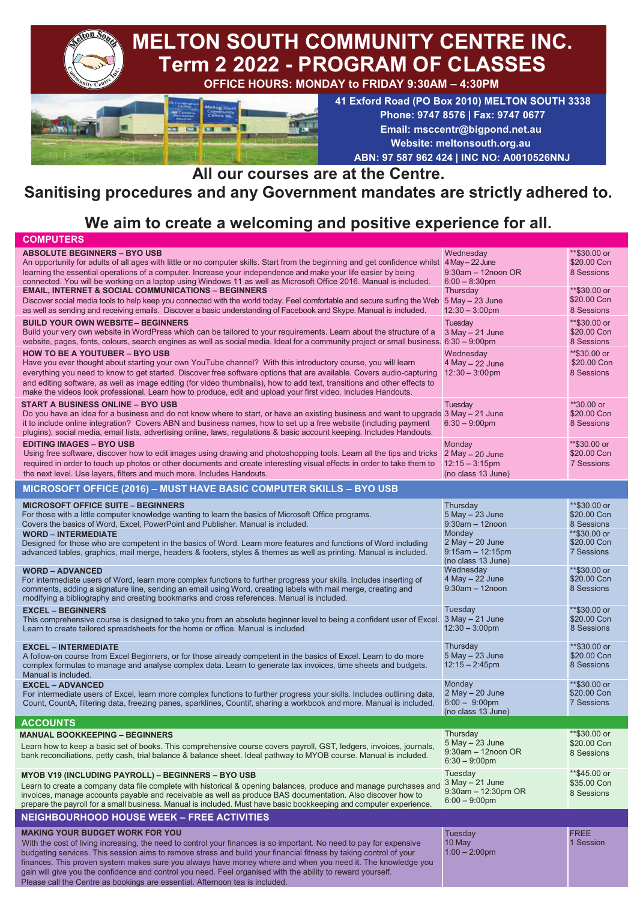

#### **All our courses are at the Centre.**

## **Sanitising procedures and any Government mandates are strictly adhered to.**

# **We aim to create a welcoming and positive experience for all.**

| <b>COMPUTERS</b>                                                                                                                                                                                                                      |                                          |                             |
|---------------------------------------------------------------------------------------------------------------------------------------------------------------------------------------------------------------------------------------|------------------------------------------|-----------------------------|
| <b>ABSOLUTE BEGINNERS - BYO USB</b>                                                                                                                                                                                                   | Wednesday                                | **\$30.00 or                |
| An opportunity for adults of all ages with little or no computer skills. Start from the beginning and get confidence whilst 4 May – 22 June                                                                                           |                                          | \$20,00 Con                 |
| learning the essential operations of a computer. Increase your independence and make your life easier by being                                                                                                                        | $9:30$ am $-12$ noon OR                  | 8 Sessions                  |
| connected. You will be working on a laptop using Windows 11 as well as Microsoft Office 2016. Manual is included.<br><b>EMAIL, INTERNET &amp; SOCIAL COMMUNICATIONS - BEGINNERS</b>                                                   | $6:00 - 8:30$ pm<br>Thursday             | **\$30.00 or                |
| Discover social media tools to help keep you connected with the world today. Feel comfortable and secure surfing the Web 5 May - 23 June                                                                                              |                                          | \$20.00 Con                 |
| as well as sending and receiving emails. Discover a basic understanding of Facebook and Skype. Manual is included.                                                                                                                    | $12:30 - 3:00$ pm                        | 8 Sessions                  |
| <b>BUILD YOUR OWN WEBSITE- BEGINNERS</b>                                                                                                                                                                                              |                                          | **\$30.00 or                |
| Build your very own website in WordPress which can be tailored to your requirements. Learn about the structure of a                                                                                                                   | Tuesday<br>$3$ May $- 21$ June           | \$20.00 Con                 |
| website, pages, fonts, colours, search engines as well as social media. Ideal for a community project or small business. 6:30 - 9:00pm                                                                                                |                                          | 8 Sessions                  |
| <b>HOW TO BE A YOUTUBER - BYO USB</b>                                                                                                                                                                                                 | Wednesday                                | **\$30.00 or                |
| Have you ever thought about starting your own YouTube channel? With this introductory course, you will learn                                                                                                                          | $4$ May $-$ 22 June                      | \$20.00 Con                 |
| everything you need to know to get started. Discover free software options that are available. Covers audio-capturing                                                                                                                 | $12:30 - 3:00 \text{pm}$                 | 8 Sessions                  |
| and editing software, as well as image editing (for video thumbnails), how to add text, transitions and other effects to                                                                                                              |                                          |                             |
| make the videos look professional. Learn how to produce, edit and upload your first video. Includes Handouts.                                                                                                                         |                                          |                             |
| <b>START A BUSINESS ONLINE - BYO USB</b>                                                                                                                                                                                              | Tuesday                                  | **30.00 or                  |
| Do you have an idea for a business and do not know where to start, or have an existing business and want to upgrade 3 May - 21 June                                                                                                   |                                          | \$20,00 Con                 |
| it to include online integration? Covers ABN and business names, how to set up a free website (including payment                                                                                                                      | $6:30 - 9:00$ pm                         | 8 Sessions                  |
| plugins), social media, email lists, advertising online, laws, regulations & basic account keeping. Includes Handouts.                                                                                                                |                                          |                             |
| <b>EDITING IMAGES - BYO USB</b>                                                                                                                                                                                                       | Monday                                   | **\$30.00 or                |
| Using free software, discover how to edit images using drawing and photoshopping tools. Learn all the tips and tricks                                                                                                                 | $2$ May $-$ 20 June<br>$12:15 - 3:15$ pm | \$20.00 Con<br>7 Sessions   |
| required in order to touch up photos or other documents and create interesting visual effects in order to take them to<br>the next level. Use layers, filters and much more. Includes Handouts.                                       | (no class 13 June)                       |                             |
|                                                                                                                                                                                                                                       |                                          |                             |
| MICROSOFT OFFICE (2016) - MUST HAVE BASIC COMPUTER SKILLS - BYO USB                                                                                                                                                                   |                                          |                             |
| <b>MICROSOFT OFFICE SUITE - BEGINNERS</b>                                                                                                                                                                                             | Thursday                                 | **\$30.00 or                |
| For those with a little computer knowledge wanting to learn the basics of Microsoft Office programs.                                                                                                                                  | $5$ May $-23$ June                       | \$20,00 Con                 |
| Covers the basics of Word, Excel, PowerPoint and Publisher. Manual is included.                                                                                                                                                       | $9:30am - 12n$ oon                       | 8 Sessions                  |
| <b>WORD - INTERMEDIATE</b>                                                                                                                                                                                                            | Monday<br>$2$ May $- 20$ June            | **\$30.00 or<br>\$20.00 Con |
| Designed for those who are competent in the basics of Word. Learn more features and functions of Word including<br>advanced tables, graphics, mail merge, headers & footers, styles & themes as well as printing. Manual is included. | $9:15am - 12:15pm$                       | 7 Sessions                  |
|                                                                                                                                                                                                                                       | (no class 13 June)                       |                             |
| <b>WORD - ADVANCED</b>                                                                                                                                                                                                                | Wednesday                                | **\$30.00 or                |
| For intermediate users of Word, learn more complex functions to further progress your skills. Includes inserting of                                                                                                                   | $4$ May $-22$ June                       | \$20,00 Con                 |
| comments, adding a signature line, sending an email using Word, creating labels with mail merge, creating and                                                                                                                         | $9:30$ am $-12$ noon                     | 8 Sessions                  |
| modifying a bibliography and creating bookmarks and cross references. Manual is included.                                                                                                                                             |                                          |                             |
| <b>EXCEL - BEGINNERS</b>                                                                                                                                                                                                              | Tuesday<br>$3$ May $-21$ June            | **\$30.00 or<br>\$20,00 Con |
| This comprehensive course is designed to take you from an absolute beginner level to being a confident user of Excel.<br>Learn to create tailored spreadsheets for the home or office. Manual is included.                            | $12:30 - 3:00$ pm                        | 8 Sessions                  |
|                                                                                                                                                                                                                                       |                                          |                             |
| <b>EXCEL - INTERMEDIATE</b>                                                                                                                                                                                                           | Thursday                                 | **\$30.00 or                |
| A follow-on course from Excel Beginners, or for those already competent in the basics of Excel. Learn to do more                                                                                                                      | $5$ May $-$ 23 June                      | \$20.00 Con                 |
| complex formulas to manage and analyse complex data. Learn to generate tax invoices, time sheets and budgets.<br>Manual is included.                                                                                                  | $12:15 - 2:45$ pm                        | 8 Sessions                  |
| <b>EXCEL - ADVANCED</b>                                                                                                                                                                                                               | Monday                                   | **\$30.00 or                |
| For intermediate users of Excel, learn more complex functions to further progress your skills. Includes outlining data,                                                                                                               | $2$ May $- 20$ June                      | \$20.00 Con                 |
| Count, CountA, filtering data, freezing panes, sparklines, Countif, sharing a workbook and more. Manual is included.                                                                                                                  | $6:00 - 9:00$ pm                         | 7 Sessions                  |
|                                                                                                                                                                                                                                       | (no class 13 June)                       |                             |
| <b>ACCOUNTS</b>                                                                                                                                                                                                                       |                                          |                             |
| <b>MANUAL BOOKKEEPING - BEGINNERS</b>                                                                                                                                                                                                 | Thursday<br>5 May - 23 June              | **\$30.00 or<br>\$20.00 Con |
| Learn how to keep a basic set of books. This comprehensive course covers payroll, GST, ledgers, invoices, journals,                                                                                                                   | $9:30$ am - 12noon OR                    | 8 Sessions                  |
| bank reconciliations, petty cash, trial balance & balance sheet. Ideal pathway to MYOB course. Manual is included.                                                                                                                    | $6:30 - 9:00$ pm                         |                             |
| <b>MYOB V19 (INCLUDING PAYROLL) - BEGINNERS - BYO USB</b>                                                                                                                                                                             | Tuesday                                  | **\$45.00 or                |
| Learn to create a company data file complete with historical & opening balances, produce and manage purchases and                                                                                                                     | 3 May - 21 June                          | \$35.00 Con                 |
| invoices, manage accounts payable and receivable as well as produce BAS documentation. Also discover how to                                                                                                                           | 9:30am - 12:30pm OR                      | 8 Sessions                  |
| prepare the payroll for a small business. Manual is included. Must have basic bookkeeping and computer experience.                                                                                                                    | $6:00 - 9:00$ pm                         |                             |
| <b>NEIGHBOURHOOD HOUSE WEEK - FREE ACTIVITIES</b>                                                                                                                                                                                     |                                          |                             |
| <b>MAKING YOUR BUDGET WORK FOR YOU</b>                                                                                                                                                                                                | Tuesday                                  | <b>FREE</b>                 |
| With the cost of living increasing, the need to control your finances is so important. No need to pay for expensive                                                                                                                   | 10 May                                   | 1 Session                   |
| budgeting services. This session aims to remove stress and build your financial fitness by taking control of your                                                                                                                     | $1:00 - 2:00$ pm                         |                             |
| finances. This proven system makes sure you always have money where and when you need it. The knowledge you                                                                                                                           |                                          |                             |
| gain will give you the confidence and control you need. Feel organised with the ability to reward yourself.                                                                                                                           |                                          |                             |
| Please call the Centre as bookings are essential. Afternoon tea is included.                                                                                                                                                          |                                          |                             |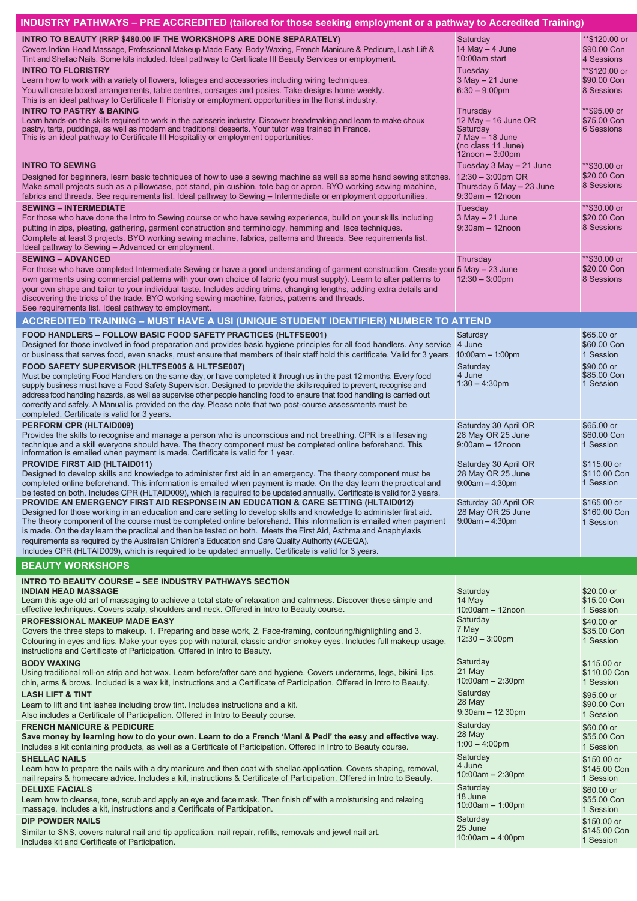| INDUSTRY PATHWAYS – PRE ACCREDITED (tailored for those seeking employment or a pathway to Accredited Training)                                                                                                         |                                 |                             |
|------------------------------------------------------------------------------------------------------------------------------------------------------------------------------------------------------------------------|---------------------------------|-----------------------------|
| <b>INTRO TO BEAUTY (RRP \$480.00 IF THE WORKSHOPS ARE DONE SEPARATELY)</b>                                                                                                                                             | Saturday                        | **\$120.00 or               |
| Covers Indian Head Massage, Professional Makeup Made Easy, Body Waxing, French Manicure & Pedicure, Lash Lift &                                                                                                        | 14 May $-$ 4 June               | \$90.00 Con                 |
| Tint and Shellac Nails. Some kits included. Ideal pathway to Certificate III Beauty Services or employment.                                                                                                            | 10:00am start                   | 4 Sessions                  |
| <b>INTRO TO FLORISTRY</b>                                                                                                                                                                                              | Tuesday                         | **\$120.00 or               |
| Learn how to work with a variety of flowers, foliages and accessories including wiring techniques.                                                                                                                     | $3$ May $-21$ June              | \$90.00 Con                 |
| You will create boxed arrangements, table centres, corsages and posies. Take designs home weekly.                                                                                                                      | $6:30 - 9:00$ pm                | 8 Sessions                  |
| This is an ideal pathway to Certificate II Floristry or employment opportunities in the florist industry.                                                                                                              |                                 |                             |
| <b>INTRO TO PASTRY &amp; BAKING</b>                                                                                                                                                                                    | Thursday                        | **\$95.00 or                |
| Learn hands-on the skills required to work in the patisserie industry. Discover breadmaking and learn to make choux                                                                                                    | 12 May $-$ 16 June OR           | \$75.00 Con                 |
| pastry, tarts, puddings, as well as modern and traditional desserts. Your tutor was trained in France.<br>This is an ideal pathway to Certificate III Hospitality or employment opportunities.                         | Saturday<br>$7$ May $-$ 18 June | 6 Sessions                  |
|                                                                                                                                                                                                                        | (no class 11 June)              |                             |
|                                                                                                                                                                                                                        | $12$ noon $-3:00$ pm            |                             |
| <b>INTRO TO SEWING</b>                                                                                                                                                                                                 | Tuesday 3 May - 21 June         | **\$30.00 or                |
| Designed for beginners, learn basic techniques of how to use a sewing machine as well as some hand sewing stitches.                                                                                                    | $12:30 - 3:00$ pm OR            | \$20.00 Con                 |
| Make small projects such as a pillowcase, pot stand, pin cushion, tote bag or apron. BYO working sewing machine,                                                                                                       | Thursday 5 May - 23 June        | 8 Sessions                  |
| fabrics and threads. See requirements list. Ideal pathway to Sewing – Intermediate or employment opportunities.                                                                                                        | $9:30$ am $-12$ noon            |                             |
| <b>SEWING - INTERMEDIATE</b>                                                                                                                                                                                           | Tuesday                         | **\$30.00 or                |
| For those who have done the Intro to Sewing course or who have sewing experience, build on your skills including                                                                                                       | $3$ May $-21$ June              | \$20.00 Con                 |
| putting in zips, pleating, gathering, garment construction and terminology, hemming and lace techniques.                                                                                                               | $9:30$ am $-12$ noon            | 8 Sessions                  |
| Complete at least 3 projects. BYO working sewing machine, fabrics, patterns and threads. See requirements list.                                                                                                        |                                 |                             |
| Ideal pathway to Sewing - Advanced or employment.                                                                                                                                                                      |                                 |                             |
| <b>SEWING - ADVANCED</b>                                                                                                                                                                                               | Thursday                        | **\$30,00 or                |
| For those who have completed Intermediate Sewing or have a good understanding of garment construction. Create your 5 May - 23 June                                                                                     |                                 | \$20.00 Con                 |
| own garments using commercial patterns with your own choice of fabric (you must supply). Learn to alter patterns to                                                                                                    | $12:30 - 3:00 \text{pm}$        | 8 Sessions                  |
| your own shape and tailor to your individual taste. Includes adding trims, changing lengths, adding extra details and                                                                                                  |                                 |                             |
| discovering the tricks of the trade. BYO working sewing machine, fabrics, patterns and threads.<br>See requirements list. Ideal pathway to employment.                                                                 |                                 |                             |
|                                                                                                                                                                                                                        |                                 |                             |
| <b>ACCREDITED TRAINING - MUST HAVE A USI (UNIQUE STUDENT IDENTIFIER) NUMBER TO ATTEND</b>                                                                                                                              |                                 |                             |
| <b>FOOD HANDLERS - FOLLOW BASIC FOOD SAFETY PRACTICES (HLTFSE001)</b>                                                                                                                                                  | Saturday                        | $$65.00$ or                 |
| Designed for those involved in food preparation and provides basic hygiene principles for all food handlers. Any service 4 June                                                                                        |                                 | \$60.00 Con                 |
| or business that serves food, even snacks, must ensure that members of their staff hold this certificate. Valid for 3 years. 10:00am - 1:00pm                                                                          |                                 | 1 Session                   |
| FOOD SAFETY SUPERVISOR (HLTFSE005 & HLTFSE007)                                                                                                                                                                         | Saturday                        | \$90,00 or                  |
| Must be completing Food Handlers on the same day, or have completed it through us in the past 12 months. Every food                                                                                                    | 4 June<br>$1:30 - 4:30$ pm      | \$85.00 Con<br>1 Session    |
| supply business must have a Food Safety Supervisor. Designed to provide the skills required to prevent, recognise and                                                                                                  |                                 |                             |
| address food handling hazards, as well as supervise other people handling food to ensure that food handling is carried out                                                                                             |                                 |                             |
| correctly and safely. A Manual is provided on the day. Please note that two post-course assessments must be<br>completed. Certificate is valid for 3 years.                                                            |                                 |                             |
| PERFORM CPR (HLTAID009)                                                                                                                                                                                                | Saturday 30 April OR            | $$65.00$ or                 |
| Provides the skills to recognise and manage a person who is unconscious and not breathing. CPR is a lifesaving                                                                                                         | 28 May OR 25 June               | \$60.00 Con                 |
| technique and a skill everyone should have. The theory component must be completed online beforehand. This                                                                                                             | $9:00am - 12n$ oon              | 1 Session                   |
| information is emailed when payment is made. Certificate is valid for 1 year.                                                                                                                                          |                                 |                             |
| <b>PROVIDE FIRST AID (HLTAID011)</b>                                                                                                                                                                                   | Saturday 30 April OR            | \$115.00 or                 |
| Designed to develop skills and knowledge to administer first aid in an emergency. The theory component must be                                                                                                         | 28 May OR 25 June               | \$110.00 Con                |
| completed online beforehand. This information is emailed when payment is made. On the day learn the practical and                                                                                                      | $9:00am - 4:30pm$               | 1 Session                   |
| be tested on both. Includes CPR (HLTAID009), which is required to be updated annually. Certificate is valid for 3 years.                                                                                               |                                 |                             |
| PROVIDE AN EMERGENCY FIRST AID RESPONSE IN AN EDUCATION & CARE SETTING (HLTAID012)                                                                                                                                     | Saturday 30 April OR            | \$165.00 or                 |
| Designed for those working in an education and care setting to develop skills and knowledge to administer first aid.                                                                                                   | 28 May OR 25 June               | \$160.00 Con                |
| The theory component of the course must be completed online beforehand. This information is emailed when payment                                                                                                       | $9:00am - 4:30pm$               | 1 Session                   |
| is made. On the day learn the practical and then be tested on both. Meets the First Aid, Asthma and Anaphylaxis<br>requirements as required by the Australian Children's Education and Care Quality Authority (ACEQA). |                                 |                             |
| Includes CPR (HLTAID009), which is required to be updated annually. Certificate is valid for 3 years.                                                                                                                  |                                 |                             |
| <b>BEAUTY WORKSHOPS</b>                                                                                                                                                                                                |                                 |                             |
|                                                                                                                                                                                                                        |                                 |                             |
| <b>INTRO TO BEAUTY COURSE – SEE INDUSTRY PATHWAYS SECTION</b>                                                                                                                                                          |                                 |                             |
| <b>INDIAN HEAD MASSAGE</b>                                                                                                                                                                                             | Saturday                        | \$20.00 or                  |
| Learn this age-old art of massaging to achieve a total state of relaxation and calmness. Discover these simple and<br>effective techniques. Covers scalp, shoulders and neck. Offered in Intro to Beauty course.       | 14 May<br>$10:00am - 12noon$    | \$15,00 Con<br>1 Session    |
| <b>PROFESSIONAL MAKEUP MADE EASY</b>                                                                                                                                                                                   | Saturday                        |                             |
| Covers the three steps to makeup. 1. Preparing and base work, 2. Face-framing, contouring/highlighting and 3.                                                                                                          | 7 May                           | \$40,00 or<br>\$35.00 Con   |
| Colouring in eyes and lips. Make your eyes pop with natural, classic and/or smokey eyes. Includes full makeup usage,                                                                                                   | $12:30 - 3:00$ pm               | 1 Session                   |
| instructions and Certificate of Participation. Offered in Intro to Beauty.                                                                                                                                             |                                 |                             |
| <b>BODY WAXING</b>                                                                                                                                                                                                     | Saturday                        | \$115.00 or                 |
| Using traditional roll-on strip and hot wax. Learn before/after care and hygiene. Covers underarms, legs, bikini, lips,                                                                                                | 21 May                          | \$110.00 Con                |
| chin, arms & brows. Included is a wax kit, instructions and a Certificate of Participation. Offered in Intro to Beauty.                                                                                                | $10:00am - 2:30pm$              | 1 Session                   |
| <b>LASH LIFT &amp; TINT</b>                                                                                                                                                                                            | Saturday                        | \$95.00 or                  |
| Learn to lift and tint lashes including brow tint. Includes instructions and a kit.                                                                                                                                    | 28 May                          | \$90.00 Con                 |
| Also includes a Certificate of Participation. Offered in Intro to Beauty course.                                                                                                                                       | $9:30$ am $-12:30$ pm           | 1 Session                   |
| <b>FRENCH MANICURE &amp; PEDICURE</b>                                                                                                                                                                                  | Saturday                        | \$60,00 or                  |
| Save money by learning how to do your own. Learn to do a French 'Mani & Pedi' the easy and effective way.                                                                                                              | 28 May                          | \$55.00 Con                 |
| Includes a kit containing products, as well as a Certificate of Participation. Offered in Intro to Beauty course.                                                                                                      | $1:00 - 4:00$ pm                | 1 Session                   |
| <b>SHELLAC NAILS</b>                                                                                                                                                                                                   |                                 | \$150.00 or                 |
|                                                                                                                                                                                                                        |                                 |                             |
|                                                                                                                                                                                                                        | Saturday<br>4 June              |                             |
| Learn how to prepare the nails with a dry manicure and then coat with shellac application. Covers shaping, removal,                                                                                                    | $10:00am - 2:30pm$              | \$145.00 Con                |
| nail repairs & homecare advice. Includes a kit, instructions & Certificate of Participation. Offered in Intro to Beauty.                                                                                               |                                 | 1 Session                   |
| <b>DELUXE FACIALS</b>                                                                                                                                                                                                  | Saturday<br>18 June             | $$60.00$ or                 |
| Learn how to cleanse, tone, scrub and apply an eye and face mask. Then finish off with a moisturising and relaxing<br>massage. Includes a kit, instructions and a Certificate of Participation.                        | 10:00am - 1:00pm                | \$55.00 Con<br>1 Session    |
|                                                                                                                                                                                                                        | Saturday                        |                             |
| <b>DIP POWDER NAILS</b>                                                                                                                                                                                                | 25 June                         | \$150.00 or<br>\$145.00 Con |
| Similar to SNS, covers natural nail and tip application, nail repair, refills, removals and jewel nail art.<br>Includes kit and Certificate of Participation.                                                          | $10:00am - 4:00pm$              | 1 Session                   |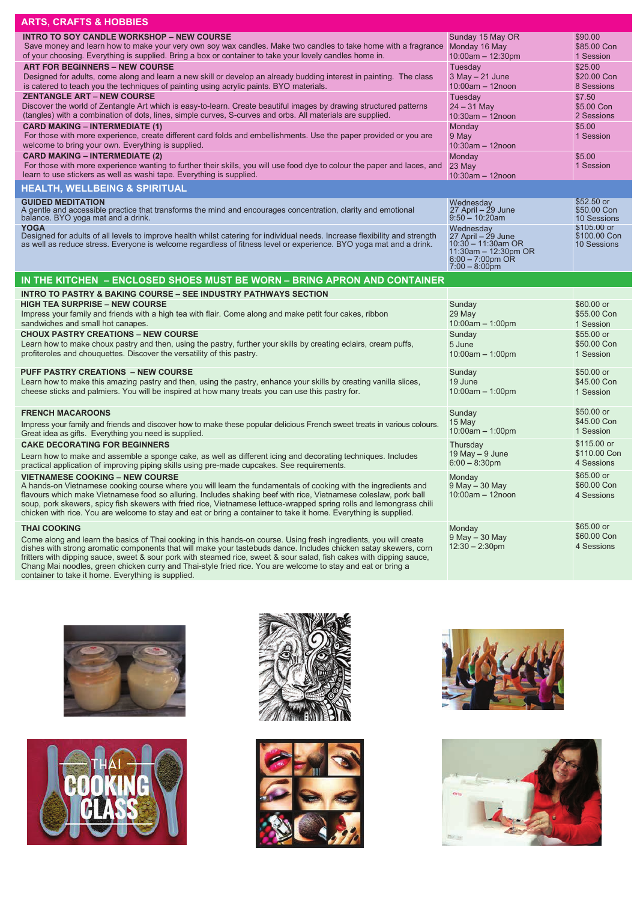| <b>ARTS, CRAFTS &amp; HOBBIES</b>                                                                                                                                                                                                                                                                                                                                                                                                                                                                                                                                                                                                                                                                                 |                                                                                                                                 |                                                                                                     |
|-------------------------------------------------------------------------------------------------------------------------------------------------------------------------------------------------------------------------------------------------------------------------------------------------------------------------------------------------------------------------------------------------------------------------------------------------------------------------------------------------------------------------------------------------------------------------------------------------------------------------------------------------------------------------------------------------------------------|---------------------------------------------------------------------------------------------------------------------------------|-----------------------------------------------------------------------------------------------------|
| <b>INTRO TO SOY CANDLE WORKSHOP - NEW COURSE</b><br>Save money and learn how to make your very own soy wax candles. Make two candles to take home with a fragrance Monday 16 May<br>of your choosing. Everything is supplied. Bring a box or container to take your lovely candles home in.<br><b>ART FOR BEGINNERS - NEW COURSE</b><br>Designed for adults, come along and learn a new skill or develop an already budding interest in painting. The class<br>is catered to teach you the techniques of painting using acrylic paints. BYO materials.<br><b>ZENTANGLE ART - NEW COURSE</b><br>Discover the world of Zentangle Art which is easy-to-learn. Create beautiful images by drawing structured patterns | Sunday 15 May OR<br>$10:00$ am $- 12:30$ pm<br>Tuesday<br>$3$ May $-21$ June<br>$10:00$ am - 12noon<br>Tuesday<br>$24 - 31$ May | \$90.00<br>\$85.00 Con<br>1 Session<br>\$25.00<br>\$20.00 Con<br>8 Sessions<br>\$7.50<br>\$5.00 Con |
| (tangles) with a combination of dots, lines, simple curves, S-curves and orbs. All materials are supplied.<br><b>CARD MAKING - INTERMEDIATE (1)</b><br>For those with more experience, create different card folds and embellishments. Use the paper provided or you are<br>welcome to bring your own. Everything is supplied.                                                                                                                                                                                                                                                                                                                                                                                    | $10:30$ am - 12noon<br>Monday<br>9 May<br>$10:30$ am - 12noon                                                                   | 2 Sessions<br>\$5.00<br>1 Session                                                                   |
| <b>CARD MAKING - INTERMEDIATE (2)</b><br>For those with more experience wanting to further their skills, you will use food dye to colour the paper and laces, and<br>learn to use stickers as well as washi tape. Everything is supplied.                                                                                                                                                                                                                                                                                                                                                                                                                                                                         | Monday<br>23 May<br>$10:30am - 12noon$                                                                                          | \$5.00<br>1 Session                                                                                 |
| <b>HEALTH, WELLBEING &amp; SPIRITUAL</b>                                                                                                                                                                                                                                                                                                                                                                                                                                                                                                                                                                                                                                                                          |                                                                                                                                 |                                                                                                     |
| <b>GUIDED MEDITATION</b><br>A gentle and accessible practice that transforms the mind and encourages concentration, clarity and emotional<br>balance. BYO yoga mat and a drink.<br><b>YOGA</b>                                                                                                                                                                                                                                                                                                                                                                                                                                                                                                                    | Wednesday<br>$27$ April $-$ 29 June<br>$9:50 - 10:20$ am                                                                        | $$52.50$ or<br>\$50,00 Con<br>10 Sessions<br>\$105,00 or                                            |
| Designed for adults of all levels to improve health whilst catering for individual needs. Increase flexibility and strength<br>as well as reduce stress. Everyone is welcome regardless of fitness level or experience. BYO yoga mat and a drink.                                                                                                                                                                                                                                                                                                                                                                                                                                                                 | Wednesday<br>$27$ April $-$ 29 June<br>$10:30 - 11:30$ am OR<br>11:30am - 12:30pm OR<br>$6:00 - 7:00$ pm OR<br>$7:00 - 8:00$ pm | \$100.00 Con<br>10 Sessions                                                                         |
| IN THE KITCHEN - ENCLOSED SHOES MUST BE WORN - BRING APRON AND CONTAINER                                                                                                                                                                                                                                                                                                                                                                                                                                                                                                                                                                                                                                          |                                                                                                                                 |                                                                                                     |
| <b>INTRO TO PASTRY &amp; BAKING COURSE - SEE INDUSTRY PATHWAYS SECTION</b><br><b>HIGH TEA SURPRISE - NEW COURSE</b><br>Impress your family and friends with a high tea with flair. Come along and make petit four cakes, ribbon<br>sandwiches and small hot canapes.<br><b>CHOUX PASTRY CREATIONS - NEW COURSE</b><br>Learn how to make choux pastry and then, using the pastry, further your skills by creating eclairs, cream puffs,<br>profiteroles and chouquettes. Discover the versatility of this pastry.                                                                                                                                                                                                  | Sunday<br>29 May<br>$10:00am - 1:00pm$<br>Sunday<br>5 June<br>$10:00am - 1:00pm$                                                | \$60.00 or<br>\$55.00 Con<br>1 Session<br>\$55.00 or<br>\$50.00 Con<br>1 Session                    |
| <b>PUFF PASTRY CREATIONS - NEW COURSE</b><br>Learn how to make this amazing pastry and then, using the pastry, enhance your skills by creating vanilla slices,<br>cheese sticks and palmiers. You will be inspired at how many treats you can use this pastry for.                                                                                                                                                                                                                                                                                                                                                                                                                                                | Sunday<br>19 June<br>$10:00am - 1:00pm$                                                                                         | \$50,00 or<br>\$45,00 Con<br>1 Session                                                              |
| <b>FRENCH MACAROONS</b><br>Impress your family and friends and discover how to make these popular delicious French sweet treats in various colours.<br>Great idea as gifts. Everything you need is supplied.                                                                                                                                                                                                                                                                                                                                                                                                                                                                                                      | Sunday<br>15 May<br>$10:00am - 1:00pm$                                                                                          | \$50.00 or<br>\$45.00 Con<br>1 Session                                                              |
| <b>CAKE DECORATING FOR BEGINNERS</b><br>Learn how to make and assemble a sponge cake, as well as different icing and decorating techniques. Includes<br>practical application of improving piping skills using pre-made cupcakes. See requirements.                                                                                                                                                                                                                                                                                                                                                                                                                                                               | Thursday<br>19 May $-9$ June<br>$6:00 - 8:30$ pm                                                                                | \$115,00 or<br>\$110.00 Con<br>4 Sessions                                                           |
| <b>VIETNAMESE COOKING - NEW COURSE</b><br>A hands-on Vietnamese cooking course where you will learn the fundamentals of cooking with the ingredients and<br>flavours which make Vietnamese food so alluring. Includes shaking beef with rice, Vietnamese coleslaw, pork ball<br>soup, pork skewers, spicy fish skewers with fried rice, Vietnamese lettuce-wrapped spring rolls and lemongrass chili<br>chicken with rice. You are welcome to stay and eat or bring a container to take it home. Everything is supplied.                                                                                                                                                                                          | Monday<br>9 May - 30 May<br>$10:00$ am $-12$ noon                                                                               | \$65.00 or<br>\$60.00 Con<br>4 Sessions                                                             |
| <b>THAI COOKING</b><br>Come along and learn the basics of Thai cooking in this hands-on course. Using fresh ingredients, you will create<br>dishes with strong aromatic components that will make your tastebuds dance. Includes chicken satay skewers, corn<br>fritters with dipping sauce, sweet & sour pork with steamed rice, sweet & sour salad, fish cakes with dipping sauce,<br>Chang Mai noodles, green chicken curry and Thai-style fried rice. You are welcome to stay and eat or bring a<br>container to take it home. Everything is supplied.                                                                                                                                                        | Monday<br>9 May - 30 May<br>$12:30 - 2:30$ pm                                                                                   | $$65.00$ or<br>\$60.00 Con<br>4 Sessions                                                            |